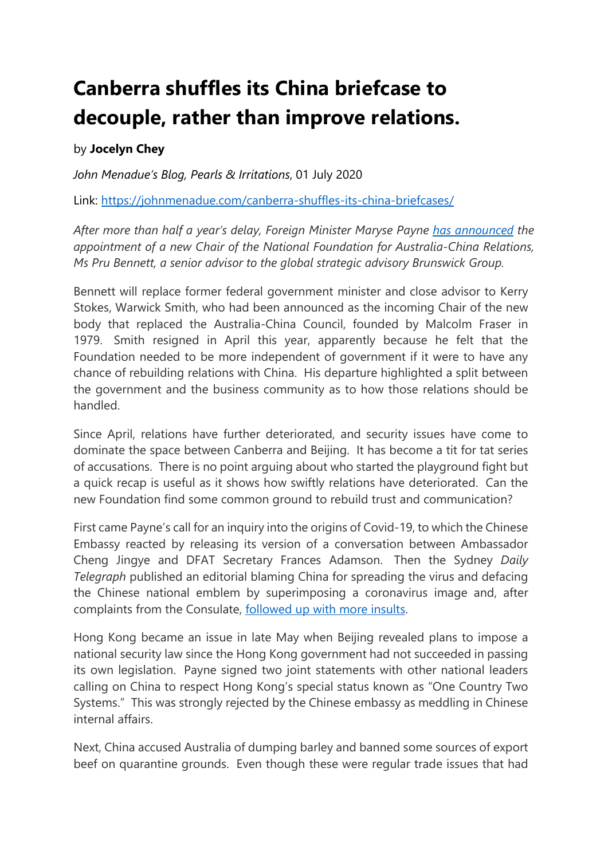## **Canberra shuffles its China briefcase to decouple, rather than improve relations.**

## by **Jocelyn Chey**

*John Menadue's Blog, Pearls & Irritations*, 01 July 2020

Link:<https://johnmenadue.com/canberra-shuffles-its-china-briefcases/>

*After more than half a year's delay, Foreign Minister Maryse Payne [has announced](https://www.foreignminister.gov.au/minister/marise-payne/media-release/national-foundation-australia-china-relations-advisory-board-appointments) the appointment of a new Chair of the National Foundation for Australia-China Relations, Ms Pru Bennett, a senior advisor to the global strategic advisory Brunswick Group.* 

Bennett will replace former federal government minister and close advisor to Kerry Stokes, Warwick Smith, who had been announced as the incoming Chair of the new body that replaced the Australia-China Council, founded by Malcolm Fraser in 1979. Smith resigned in April this year, apparently because he felt that the Foundation needed to be more independent of government if it were to have any chance of rebuilding relations with China. His departure highlighted a split between the government and the business community as to how those relations should be handled.

Since April, relations have further deteriorated, and security issues have come to dominate the space between Canberra and Beijing. It has become a tit for tat series of accusations. There is no point arguing about who started the playground fight but a quick recap is useful as it shows how swiftly relations have deteriorated. Can the new Foundation find some common ground to rebuild trust and communication?

First came Payne's call for an inquiry into the origins of Covid-19, to which the Chinese Embassy reacted by releasing its version of a conversation between Ambassador Cheng Jingye and DFAT Secretary Frances Adamson. Then the Sydney *Daily Telegraph* published an editorial blaming China for spreading the virus and defacing the Chinese national emblem by superimposing a coronavirus image and, after complaints from the Consulate, [followed up with more insults.](https://www.dailytelegraph.com.au/blogs/tim-blair/latest-chinese-consulate-pansygram-arrives/news-story/be41045ed6624e7f3fa0f7cba40bc56d)

Hong Kong became an issue in late May when Beijing revealed plans to impose a national security law since the Hong Kong government had not succeeded in passing its own legislation. Payne signed two joint statements with other national leaders calling on China to respect Hong Kong's special status known as "One Country Two Systems." This was strongly rejected by the Chinese embassy as meddling in Chinese internal affairs.

Next, China accused Australia of dumping barley and banned some sources of export beef on quarantine grounds. Even though these were regular trade issues that had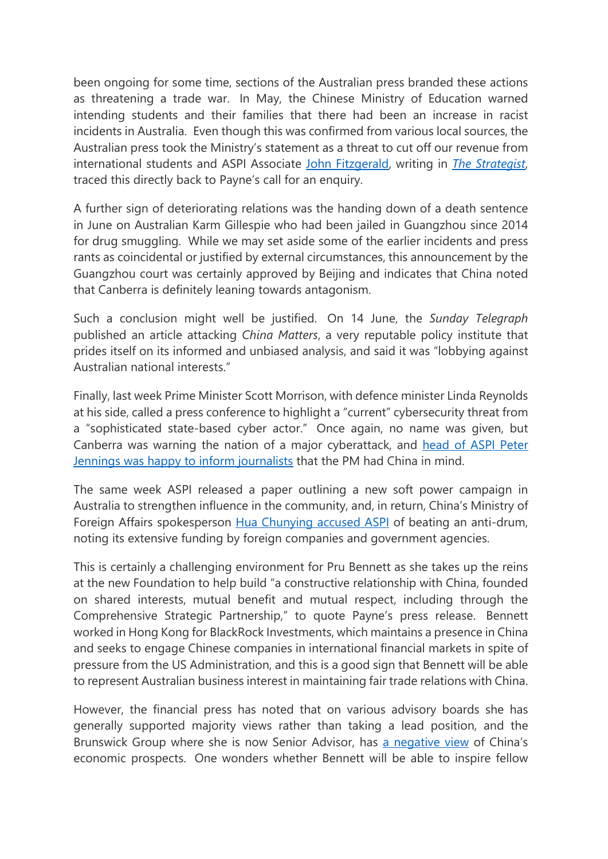been ongoing for some time, sections of the Australian press branded these actions as threatening a trade war. In May, the Chinese Ministry of Education warned intending students and their families that there had been an increase in racist incidents in Australia. Even though this was confirmed from various local sources, the Australian press took the Ministry's statement as a threat to cut off our revenue from international students and ASPI Associate [John Fitzgerald,](https://www.aspistrategist.org.au/why-has-beijing-branded-australia-racist/) writing in *[The Strategist](https://www.aspistrategist.org.au/why-has-beijing-branded-australia-racist/)*, traced this directly back to Payne's call for an enquiry.

A further sign of deteriorating relations was the handing down of a death sentence in June on Australian Karm Gillespie who had been jailed in Guangzhou since 2014 for drug smuggling. While we may set aside some of the earlier incidents and press rants as coincidental or justified by external circumstances, this announcement by the Guangzhou court was certainly approved by Beijing and indicates that China noted that Canberra is definitely leaning towards antagonism.

Such a conclusion might well be justified. On 14 June, the *Sunday Telegraph*  published an article attacking *China Matters*, a very reputable policy institute that prides itself on its informed and unbiased analysis, and said it was "lobbying against Australian national interests."

Finally, last week Prime Minister Scott Morrison, with defence minister Linda Reynolds at his side, called a press conference to highlight a "current" cybersecurity threat from a "sophisticated state-based cyber actor." Once again, no name was given, but Canberra was warning the nation of a major cyberattack, and [head of ASPI Peter](https://www.theguardian.com/technology/2020/jun/20/scott-morrison-sends-china-a-signal-on-cyber-attack-but-then-fear-turns-into-farce)  [Jennings was happy to inform journalists](https://www.theguardian.com/technology/2020/jun/20/scott-morrison-sends-china-a-signal-on-cyber-attack-but-then-fear-turns-into-farce) that the PM had China in mind.

The same week ASPI released a paper outlining a new soft power campaign in Australia to strengthen influence in the community, and, in return, China's Ministry of Foreign Affairs spokesperson [Hua Chunying accused ASPI](https://www.globaltimes.cn/content/1191208.shtml) of beating an anti-drum, noting its extensive funding by foreign companies and government agencies.

This is certainly a challenging environment for Pru Bennett as she takes up the reins at the new Foundation to help build "a constructive relationship with China, founded on shared interests, mutual benefit and mutual respect, including through the Comprehensive Strategic Partnership," to quote Payne's press release. Bennett worked in Hong Kong for BlackRock Investments, which maintains a presence in China and seeks to engage Chinese companies in international financial markets in spite of pressure from the US Administration, and this is a good sign that Bennett will be able to represent Australian business interest in maintaining fair trade relations with China.

However, the financial press has noted that on various advisory boards she has generally supported majority views rather than taking a lead position, and the Brunswick Group where she is now Senior Advisor, has [a negative view](https://www.brunswickgroup.com/china-going-global-highlights-i14954/) of China's economic prospects. One wonders whether Bennett will be able to inspire fellow